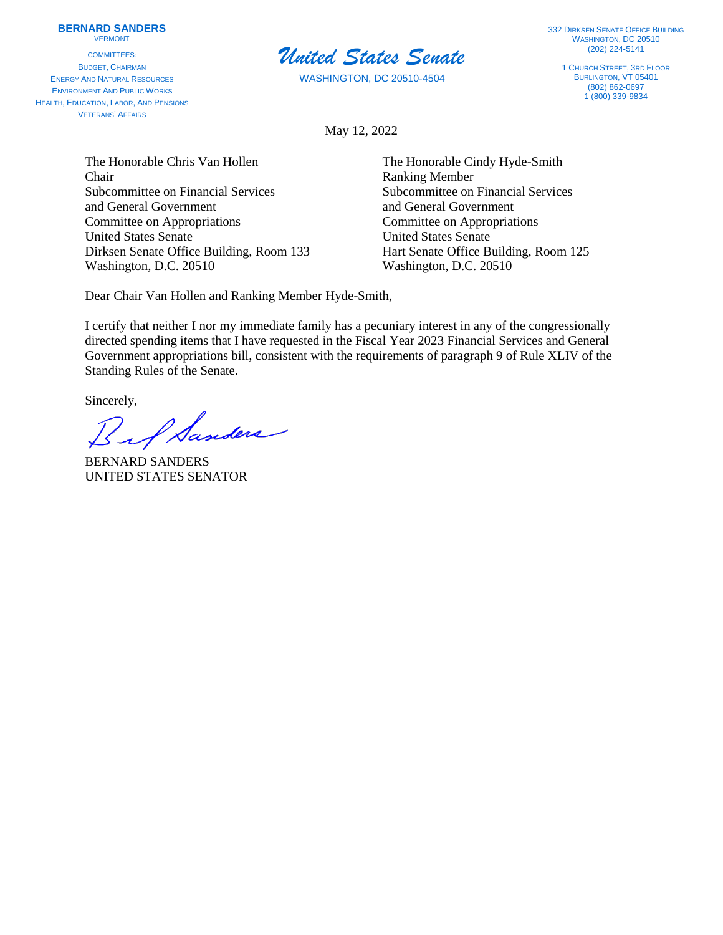## **BERNARD SANDERS**

VERMONT

COMMITTEES: BUDGET, CHAIRMAN ENERGY AND NATURAL RESOURCES ENVIRONMENT AND PUBLIC WORKS HEALTH, EDUCATION, LABOR, AND PENSIONS VETERANS' AFFAIRS



WASHINGTON, DC 20510-4504

**332 DIRKSEN SENATE OFFICE BUILDING** WASHINGTON, DC 20510 (202) 224-5141

1 CHURCH STREET, 3RD FLOOR BURLINGTON, VT 05401 (802) 862-0697  $1(800)$  339-9834

May 12, 2022

The Honorable Chris Van Hollen The Honorable Cindy Hyde-Smith Chair Ranking Member Subcommittee on Financial Services Subcommittee on Financial Services and General Government and General Government Committee on Appropriations Committee on Appropriations United States Senate United States Senate Dirksen Senate Office Building, Room 133 Hart Senate Office Building, Room 125 Washington, D.C. 20510 Washington, D.C. 20510

Dear Chair Van Hollen and Ranking Member Hyde-Smith,

I certify that neither I nor my immediate family has a pecuniary interest in any of the congressionally directed spending items that I have requested in the Fiscal Year 2023 Financial Services and General Government appropriations bill, consistent with the requirements of paragraph 9 of Rule XLIV of the Standing Rules of the Senate.

Sincerely,

A Sanders

BERNARD SANDERS UNITED STATES SENATOR